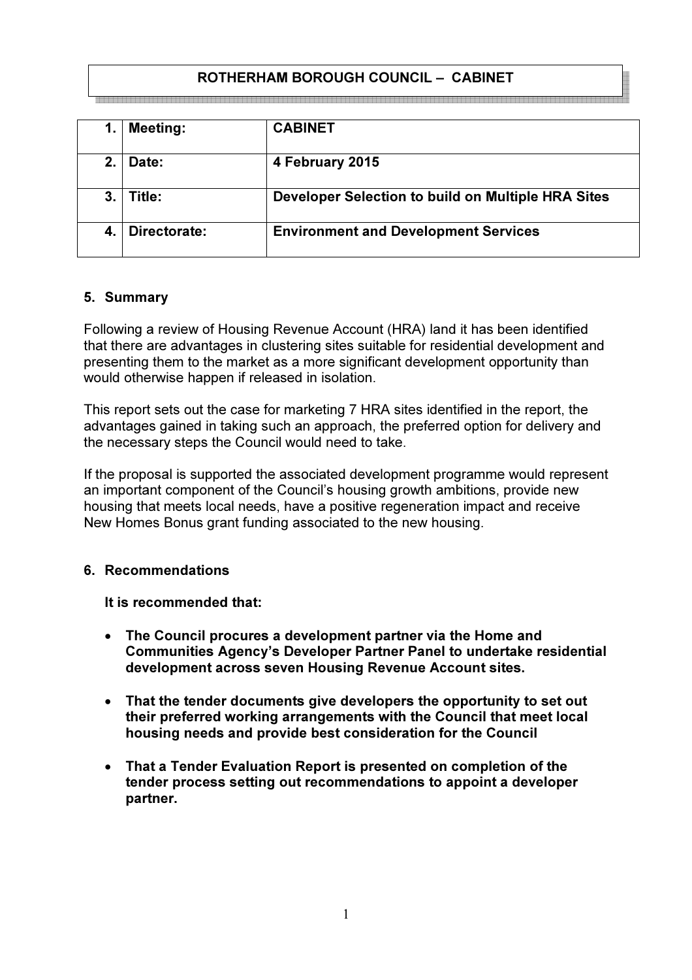# ROTHERHAM BOROUGH COUNCIL – CABINET

|         | <b>Meeting:</b> | <b>CABINET</b>                                     |
|---------|-----------------|----------------------------------------------------|
| $2_{-}$ | Date:           | 4 February 2015                                    |
| 3.      | Title:          | Developer Selection to build on Multiple HRA Sites |
|         | Directorate:    | <b>Environment and Development Services</b>        |

#### 5. Summary

Following a review of Housing Revenue Account (HRA) land it has been identified that there are advantages in clustering sites suitable for residential development and presenting them to the market as a more significant development opportunity than would otherwise happen if released in isolation.

This report sets out the case for marketing 7 HRA sites identified in the report, the advantages gained in taking such an approach, the preferred option for delivery and the necessary steps the Council would need to take.

If the proposal is supported the associated development programme would represent an important component of the Council's housing growth ambitions, provide new housing that meets local needs, have a positive regeneration impact and receive New Homes Bonus grant funding associated to the new housing.

#### 6. Recommendations

It is recommended that:

- The Council procures a development partner via the Home and Communities Agency's Developer Partner Panel to undertake residential development across seven Housing Revenue Account sites.
- That the tender documents give developers the opportunity to set out their preferred working arrangements with the Council that meet local housing needs and provide best consideration for the Council
- That a Tender Evaluation Report is presented on completion of the tender process setting out recommendations to appoint a developer partner.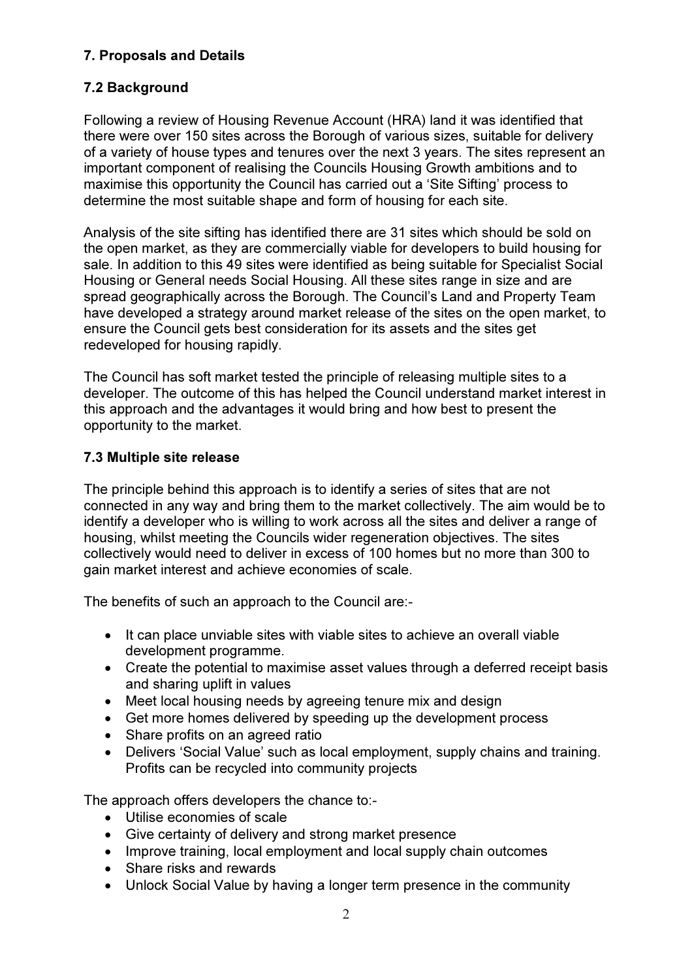# 7. Proposals and Details

# 7.2 Background

Following a review of Housing Revenue Account (HRA) land it was identified that there were over 150 sites across the Borough of various sizes, suitable for delivery of a variety of house types and tenures over the next 3 years. The sites represent an important component of realising the Councils Housing Growth ambitions and to maximise this opportunity the Council has carried out a 'Site Sifting' process to determine the most suitable shape and form of housing for each site.

Analysis of the site sifting has identified there are 31 sites which should be sold on the open market, as they are commercially viable for developers to build housing for sale. In addition to this 49 sites were identified as being suitable for Specialist Social Housing or General needs Social Housing. All these sites range in size and are spread geographically across the Borough. The Council's Land and Property Team have developed a strategy around market release of the sites on the open market, to ensure the Council gets best consideration for its assets and the sites get redeveloped for housing rapidly.

The Council has soft market tested the principle of releasing multiple sites to a developer. The outcome of this has helped the Council understand market interest in this approach and the advantages it would bring and how best to present the opportunity to the market.

### 7.3 Multiple site release

The principle behind this approach is to identify a series of sites that are not connected in any way and bring them to the market collectively. The aim would be to identify a developer who is willing to work across all the sites and deliver a range of housing, whilst meeting the Councils wider regeneration objectives. The sites collectively would need to deliver in excess of 100 homes but no more than 300 to gain market interest and achieve economies of scale.

The benefits of such an approach to the Council are:-

- It can place unviable sites with viable sites to achieve an overall viable development programme.
- Create the potential to maximise asset values through a deferred receipt basis and sharing uplift in values
- Meet local housing needs by agreeing tenure mix and design
- Get more homes delivered by speeding up the development process
- Share profits on an agreed ratio
- Delivers 'Social Value' such as local employment, supply chains and training. Profits can be recycled into community projects

The approach offers developers the chance to:-

- Utilise economies of scale
- Give certainty of delivery and strong market presence
- Improve training, local employment and local supply chain outcomes
- Share risks and rewards
- Unlock Social Value by having a longer term presence in the community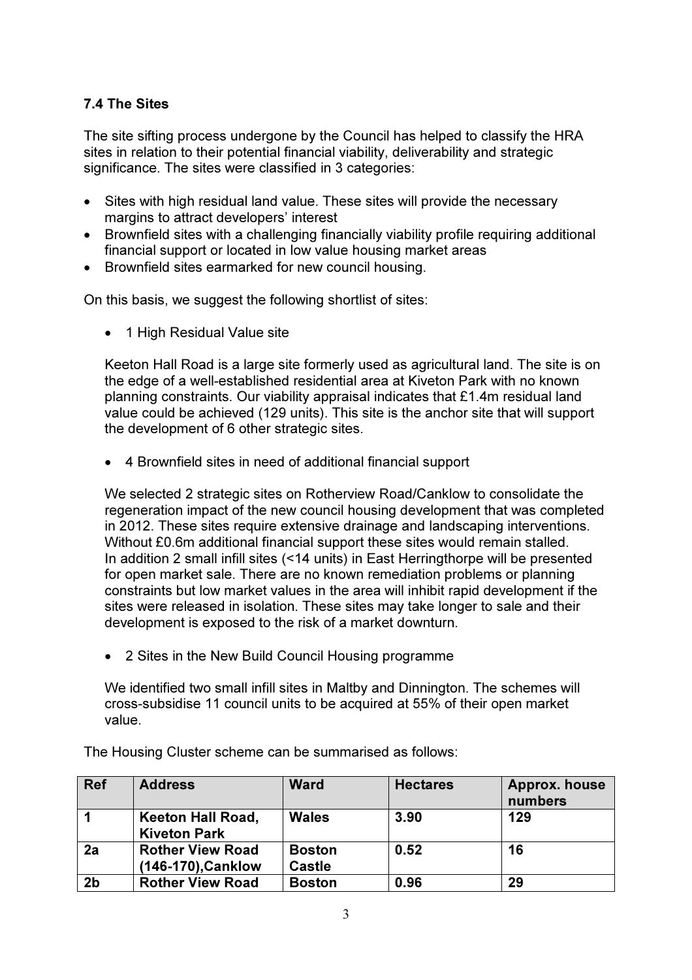# 7.4 The Sites

The site sifting process undergone by the Council has helped to classify the HRA sites in relation to their potential financial viability, deliverability and strategic significance. The sites were classified in 3 categories:

- Sites with high residual land value. These sites will provide the necessary margins to attract developers' interest
- Brownfield sites with a challenging financially viability profile requiring additional financial support or located in low value housing market areas
- Brownfield sites earmarked for new council housing.

On this basis, we suggest the following shortlist of sites:

• 1 High Residual Value site

Keeton Hall Road is a large site formerly used as agricultural land. The site is on the edge of a well-established residential area at Kiveton Park with no known planning constraints. Our viability appraisal indicates that £1.4m residual land value could be achieved (129 units). This site is the anchor site that will support the development of 6 other strategic sites.

• 4 Brownfield sites in need of additional financial support

We selected 2 strategic sites on Rotherview Road/Canklow to consolidate the regeneration impact of the new council housing development that was completed in 2012. These sites require extensive drainage and landscaping interventions. Without £0.6m additional financial support these sites would remain stalled. In addition 2 small infill sites (<14 units) in East Herringthorpe will be presented for open market sale. There are no known remediation problems or planning constraints but low market values in the area will inhibit rapid development if the sites were released in isolation. These sites may take longer to sale and their development is exposed to the risk of a market downturn.

• 2 Sites in the New Build Council Housing programme

We identified two small infill sites in Maltby and Dinnington. The schemes will cross-subsidise 11 council units to be acquired at 55% of their open market value.

| <b>Ref</b>     | <b>Address</b>                                  | <b>Ward</b>                    | <b>Hectares</b> | <b>Approx. house</b><br>numbers |
|----------------|-------------------------------------------------|--------------------------------|-----------------|---------------------------------|
|                | <b>Keeton Hall Road,</b><br><b>Kiveton Park</b> | <b>Wales</b>                   | 3.90            | 129                             |
| 2a             | <b>Rother View Road</b><br>(146-170), Canklow   | <b>Boston</b><br><b>Castle</b> | 0.52            | 16                              |
| 2 <sub>b</sub> | <b>Rother View Road</b>                         | <b>Boston</b>                  | 0.96            | 29                              |

The Housing Cluster scheme can be summarised as follows: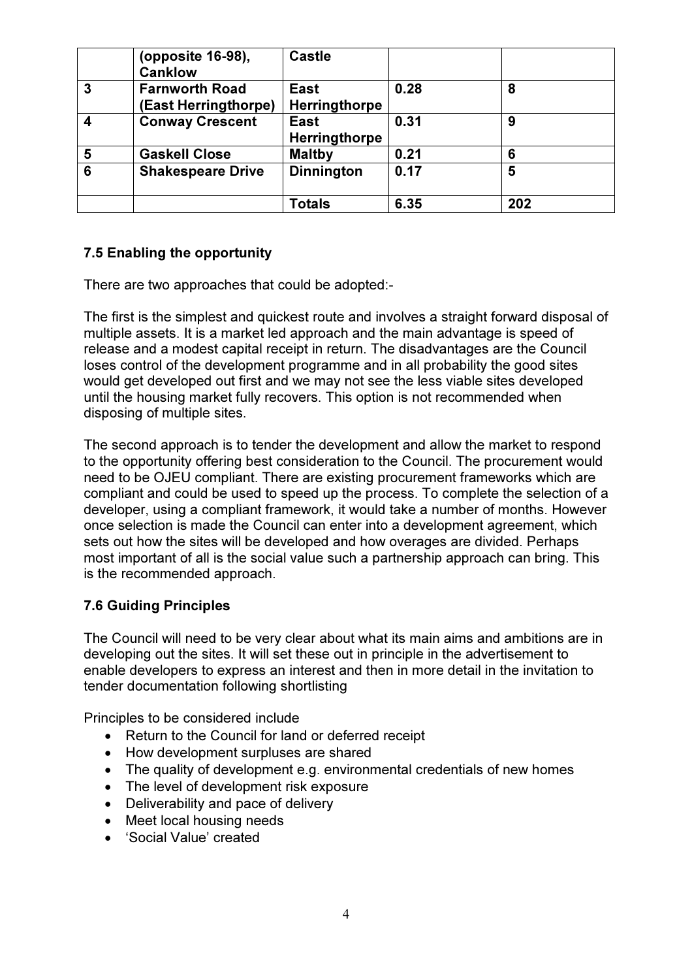|   | (opposite 16-98),<br><b>Canklow</b>           | <b>Castle</b>         |      |     |
|---|-----------------------------------------------|-----------------------|------|-----|
| 3 | <b>Farnworth Road</b><br>(East Herringthorpe) | East<br>Herringthorpe | 0.28 | 8   |
|   | <b>Conway Crescent</b>                        | East<br>Herringthorpe | 0.31 | 9   |
| 5 | <b>Gaskell Close</b>                          | <b>Maltby</b>         | 0.21 | 6   |
| 6 | <b>Shakespeare Drive</b>                      | <b>Dinnington</b>     | 0.17 | 5   |
|   |                                               | <b>Totals</b>         | 6.35 | 202 |

# 7.5 Enabling the opportunity

There are two approaches that could be adopted:-

The first is the simplest and quickest route and involves a straight forward disposal of multiple assets. It is a market led approach and the main advantage is speed of release and a modest capital receipt in return. The disadvantages are the Council loses control of the development programme and in all probability the good sites would get developed out first and we may not see the less viable sites developed until the housing market fully recovers. This option is not recommended when disposing of multiple sites.

The second approach is to tender the development and allow the market to respond to the opportunity offering best consideration to the Council. The procurement would need to be OJEU compliant. There are existing procurement frameworks which are compliant and could be used to speed up the process. To complete the selection of a developer, using a compliant framework, it would take a number of months. However once selection is made the Council can enter into a development agreement, which sets out how the sites will be developed and how overages are divided. Perhaps most important of all is the social value such a partnership approach can bring. This is the recommended approach.

### 7.6 Guiding Principles

The Council will need to be very clear about what its main aims and ambitions are in developing out the sites. It will set these out in principle in the advertisement to enable developers to express an interest and then in more detail in the invitation to tender documentation following shortlisting

Principles to be considered include

- Return to the Council for land or deferred receipt
- How development surpluses are shared
- The quality of development e.g. environmental credentials of new homes
- The level of development risk exposure
- Deliverability and pace of delivery
- Meet local housing needs
- 'Social Value' created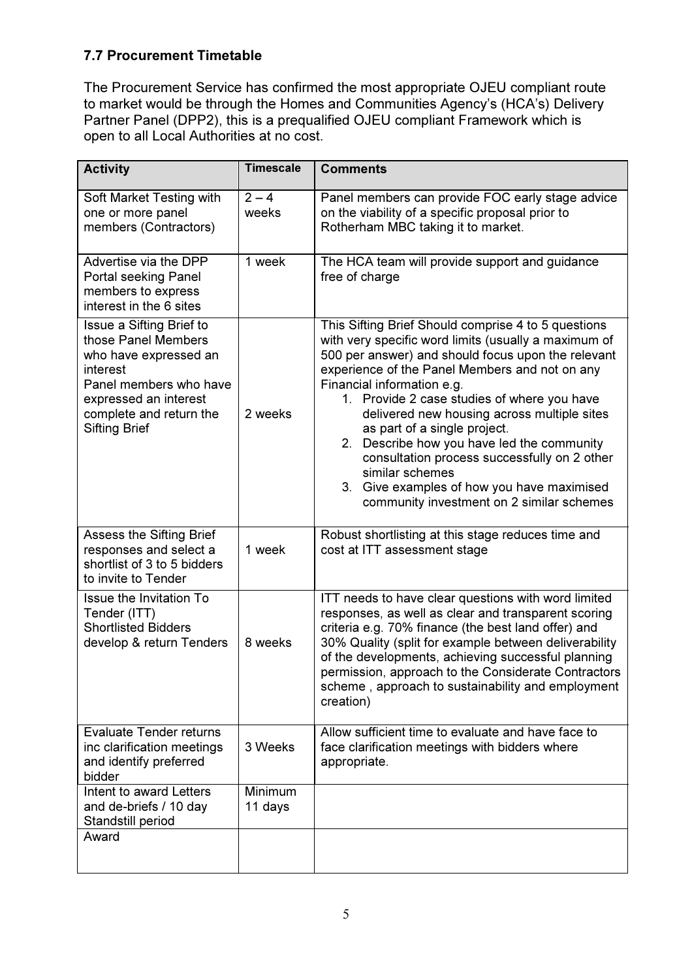# 7.7 Procurement Timetable

The Procurement Service has confirmed the most appropriate OJEU compliant route to market would be through the Homes and Communities Agency's (HCA's) Delivery Partner Panel (DPP2), this is a prequalified OJEU compliant Framework which is open to all Local Authorities at no cost.

| <b>Activity</b>                                                                                                                                                                            | <b>Timescale</b>   | <b>Comments</b>                                                                                                                                                                                                                                                                                                                                                                                                                                                                                                                                                                                   |
|--------------------------------------------------------------------------------------------------------------------------------------------------------------------------------------------|--------------------|---------------------------------------------------------------------------------------------------------------------------------------------------------------------------------------------------------------------------------------------------------------------------------------------------------------------------------------------------------------------------------------------------------------------------------------------------------------------------------------------------------------------------------------------------------------------------------------------------|
| Soft Market Testing with<br>one or more panel<br>members (Contractors)                                                                                                                     | $2 - 4$<br>weeks   | Panel members can provide FOC early stage advice<br>on the viability of a specific proposal prior to<br>Rotherham MBC taking it to market.                                                                                                                                                                                                                                                                                                                                                                                                                                                        |
| Advertise via the DPP<br>Portal seeking Panel<br>members to express<br>interest in the 6 sites                                                                                             | 1 week             | The HCA team will provide support and guidance<br>free of charge                                                                                                                                                                                                                                                                                                                                                                                                                                                                                                                                  |
| Issue a Sifting Brief to<br>those Panel Members<br>who have expressed an<br>interest<br>Panel members who have<br>expressed an interest<br>complete and return the<br><b>Sifting Brief</b> | 2 weeks            | This Sifting Brief Should comprise 4 to 5 questions<br>with very specific word limits (usually a maximum of<br>500 per answer) and should focus upon the relevant<br>experience of the Panel Members and not on any<br>Financial information e.g.<br>1. Provide 2 case studies of where you have<br>delivered new housing across multiple sites<br>as part of a single project.<br>Describe how you have led the community<br>2.<br>consultation process successfully on 2 other<br>similar schemes<br>Give examples of how you have maximised<br>3.<br>community investment on 2 similar schemes |
| Assess the Sifting Brief<br>responses and select a<br>shortlist of 3 to 5 bidders<br>to invite to Tender                                                                                   | 1 week             | Robust shortlisting at this stage reduces time and<br>cost at ITT assessment stage                                                                                                                                                                                                                                                                                                                                                                                                                                                                                                                |
| <b>Issue the Invitation To</b><br>Tender (ITT)<br><b>Shortlisted Bidders</b><br>develop & return Tenders                                                                                   | 8 weeks            | ITT needs to have clear questions with word limited<br>responses, as well as clear and transparent scoring<br>criteria e.g. 70% finance (the best land offer) and<br>30% Quality (split for example between deliverability<br>of the developments, achieving successful planning<br>permission, approach to the Considerate Contractors<br>scheme, approach to sustainability and employment<br>creation)                                                                                                                                                                                         |
| <b>Evaluate Tender returns</b><br>inc clarification meetings<br>and identify preferred<br>bidder                                                                                           | 3 Weeks            | Allow sufficient time to evaluate and have face to<br>face clarification meetings with bidders where<br>appropriate.                                                                                                                                                                                                                                                                                                                                                                                                                                                                              |
| Intent to award Letters<br>and de-briefs / 10 day<br>Standstill period                                                                                                                     | Minimum<br>11 days |                                                                                                                                                                                                                                                                                                                                                                                                                                                                                                                                                                                                   |
| Award                                                                                                                                                                                      |                    |                                                                                                                                                                                                                                                                                                                                                                                                                                                                                                                                                                                                   |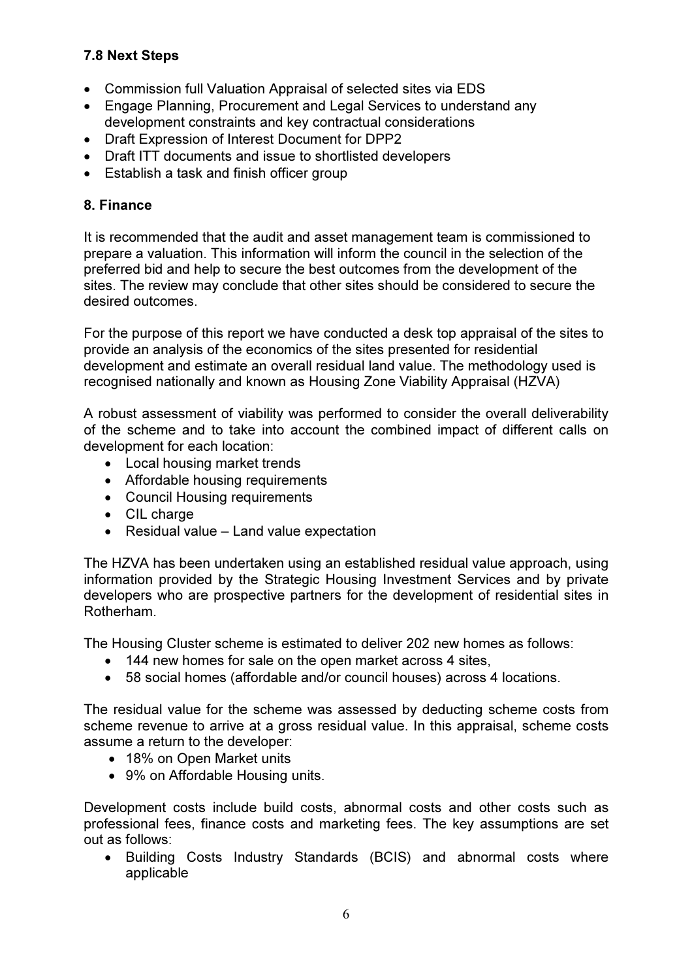# 7.8 Next Steps

- Commission full Valuation Appraisal of selected sites via EDS
- Engage Planning, Procurement and Legal Services to understand any development constraints and key contractual considerations
- Draft Expression of Interest Document for DPP2
- Draft ITT documents and issue to shortlisted developers
- Establish a task and finish officer group

### 8. Finance

It is recommended that the audit and asset management team is commissioned to prepare a valuation. This information will inform the council in the selection of the preferred bid and help to secure the best outcomes from the development of the sites. The review may conclude that other sites should be considered to secure the desired outcomes.

For the purpose of this report we have conducted a desk top appraisal of the sites to provide an analysis of the economics of the sites presented for residential development and estimate an overall residual land value. The methodology used is recognised nationally and known as Housing Zone Viability Appraisal (HZVA)

A robust assessment of viability was performed to consider the overall deliverability of the scheme and to take into account the combined impact of different calls on development for each location:

- Local housing market trends
- Affordable housing requirements
- Council Housing requirements
- CIL charge
- Residual value Land value expectation

The HZVA has been undertaken using an established residual value approach, using information provided by the Strategic Housing Investment Services and by private developers who are prospective partners for the development of residential sites in Rotherham.

The Housing Cluster scheme is estimated to deliver 202 new homes as follows:

- 144 new homes for sale on the open market across 4 sites,
- 58 social homes (affordable and/or council houses) across 4 locations.

The residual value for the scheme was assessed by deducting scheme costs from scheme revenue to arrive at a gross residual value. In this appraisal, scheme costs assume a return to the developer:

- 18% on Open Market units
- 9% on Affordable Housing units.

Development costs include build costs, abnormal costs and other costs such as professional fees, finance costs and marketing fees. The key assumptions are set out as follows:

• Building Costs Industry Standards (BCIS) and abnormal costs where applicable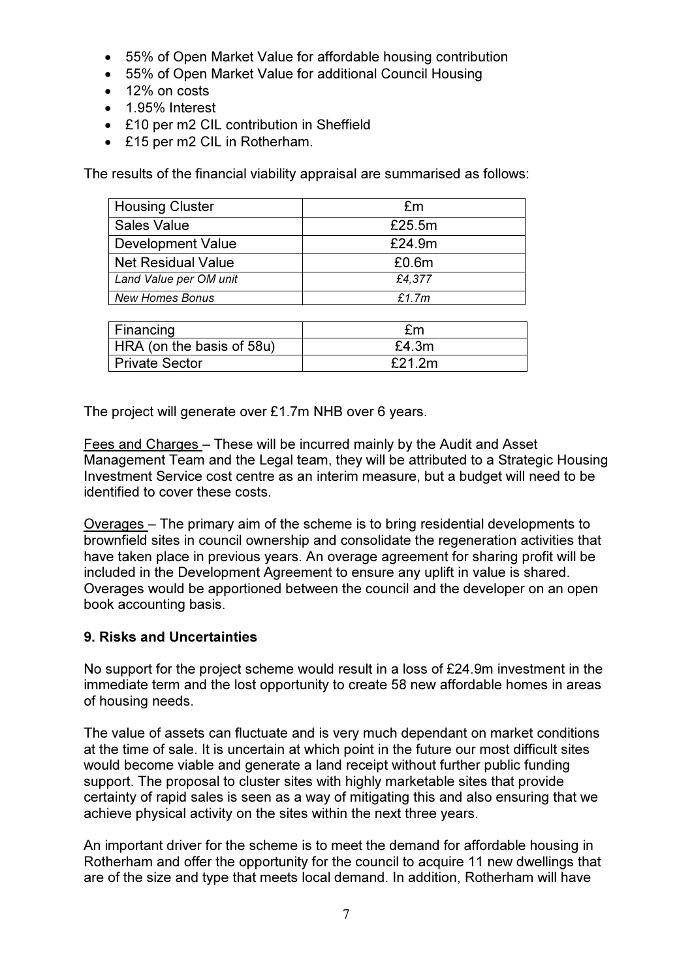- 55% of Open Market Value for affordable housing contribution
- 55% of Open Market Value for additional Council Housing
- 12% on costs
- 1.95% Interest
- £10 per m2 CIL contribution in Sheffield
- £15 per m2 CIL in Rotherham.

The results of the financial viability appraisal are summarised as follows:

| <b>Housing Cluster</b>    | £m     |
|---------------------------|--------|
| <b>Sales Value</b>        | £25.5m |
| <b>Development Value</b>  | £24.9m |
| <b>Net Residual Value</b> | £0.6m  |
| Land Value per OM unit    | £4,377 |
| New Homes Bonus           | £1.7m  |
|                           |        |
| Financing                 | £m     |
| HRA (on the basis of 58u) | £4.3m  |
| <b>Private Sector</b>     | £21.2m |

The project will generate over £1.7m NHB over 6 years.

Fees and Charges – These will be incurred mainly by the Audit and Asset Management Team and the Legal team, they will be attributed to a Strategic Housing Investment Service cost centre as an interim measure, but a budget will need to be identified to cover these costs.

Overages – The primary aim of the scheme is to bring residential developments to brownfield sites in council ownership and consolidate the regeneration activities that have taken place in previous years. An overage agreement for sharing profit will be included in the Development Agreement to ensure any uplift in value is shared. Overages would be apportioned between the council and the developer on an open book accounting basis.

### 9. Risks and Uncertainties

No support for the project scheme would result in a loss of £24.9m investment in the immediate term and the lost opportunity to create 58 new affordable homes in areas of housing needs.

The value of assets can fluctuate and is very much dependant on market conditions at the time of sale. It is uncertain at which point in the future our most difficult sites would become viable and generate a land receipt without further public funding support. The proposal to cluster sites with highly marketable sites that provide certainty of rapid sales is seen as a way of mitigating this and also ensuring that we achieve physical activity on the sites within the next three years.

An important driver for the scheme is to meet the demand for affordable housing in Rotherham and offer the opportunity for the council to acquire 11 new dwellings that are of the size and type that meets local demand. In addition, Rotherham will have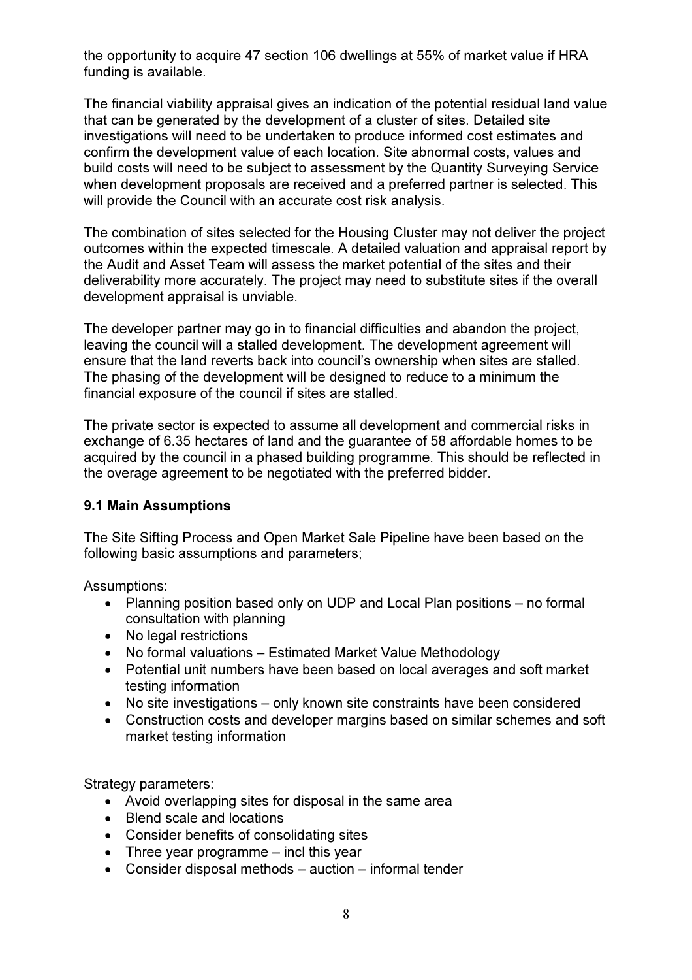the opportunity to acquire 47 section 106 dwellings at 55% of market value if HRA funding is available.

The financial viability appraisal gives an indication of the potential residual land value that can be generated by the development of a cluster of sites. Detailed site investigations will need to be undertaken to produce informed cost estimates and confirm the development value of each location. Site abnormal costs, values and build costs will need to be subject to assessment by the Quantity Surveying Service when development proposals are received and a preferred partner is selected. This will provide the Council with an accurate cost risk analysis.

The combination of sites selected for the Housing Cluster may not deliver the project outcomes within the expected timescale. A detailed valuation and appraisal report by the Audit and Asset Team will assess the market potential of the sites and their deliverability more accurately. The project may need to substitute sites if the overall development appraisal is unviable.

The developer partner may go in to financial difficulties and abandon the project, leaving the council will a stalled development. The development agreement will ensure that the land reverts back into council's ownership when sites are stalled. The phasing of the development will be designed to reduce to a minimum the financial exposure of the council if sites are stalled.

The private sector is expected to assume all development and commercial risks in exchange of 6.35 hectares of land and the guarantee of 58 affordable homes to be acquired by the council in a phased building programme. This should be reflected in the overage agreement to be negotiated with the preferred bidder.

#### 9.1 Main Assumptions

The Site Sifting Process and Open Market Sale Pipeline have been based on the following basic assumptions and parameters;

Assumptions:

- Planning position based only on UDP and Local Plan positions no formal consultation with planning
- No legal restrictions
- No formal valuations Estimated Market Value Methodology
- Potential unit numbers have been based on local averages and soft market testing information
- No site investigations only known site constraints have been considered
- Construction costs and developer margins based on similar schemes and soft market testing information

Strategy parameters:

- Avoid overlapping sites for disposal in the same area
- Blend scale and locations
- Consider benefits of consolidating sites
- Three year programme incl this year
- Consider disposal methods auction informal tender